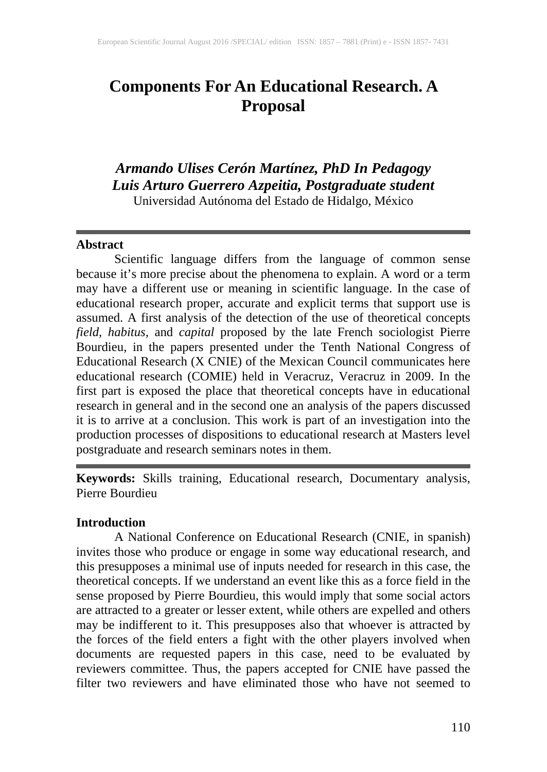# **Components For An Educational Research. A Proposal**

## *Armando Ulises Cerón Martínez, PhD In Pedagogy Luis Arturo Guerrero Azpeitia, Postgraduate student* Universidad Autónoma del Estado de Hidalgo, México

#### **Abstract**

Scientific language differs from the language of common sense because it's more precise about the phenomena to explain. A word or a term may have a different use or meaning in scientific language. In the case of educational research proper, accurate and explicit terms that support use is assumed. A first analysis of the detection of the use of theoretical concepts *field, habitus,* and *capital* proposed by the late French sociologist Pierre Bourdieu, in the papers presented under the Tenth National Congress of Educational Research (X CNIE) of the Mexican Council communicates here educational research (COMIE) held in Veracruz, Veracruz in 2009. In the first part is exposed the place that theoretical concepts have in educational research in general and in the second one an analysis of the papers discussed it is to arrive at a conclusion. This work is part of an investigation into the production processes of dispositions to educational research at Masters level postgraduate and research seminars notes in them.

**Keywords:** Skills training, Educational research, Documentary analysis, Pierre Bourdieu

#### **Introduction**

A National Conference on Educational Research (CNIE, in spanish) invites those who produce or engage in some way educational research, and this presupposes a minimal use of inputs needed for research in this case, the theoretical concepts. If we understand an event like this as a force field in the sense proposed by Pierre Bourdieu, this would imply that some social actors are attracted to a greater or lesser extent, while others are expelled and others may be indifferent to it. This presupposes also that whoever is attracted by the forces of the field enters a fight with the other players involved when documents are requested papers in this case, need to be evaluated by reviewers committee. Thus, the papers accepted for CNIE have passed the filter two reviewers and have eliminated those who have not seemed to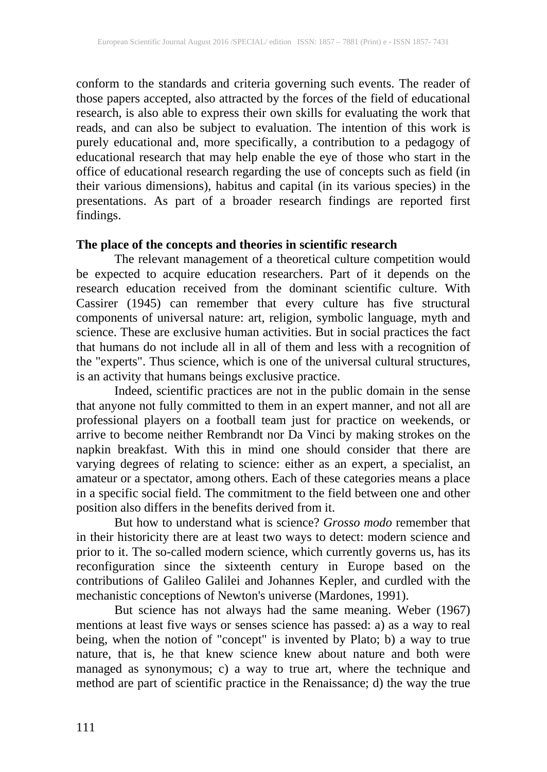conform to the standards and criteria governing such events. The reader of those papers accepted, also attracted by the forces of the field of educational research, is also able to express their own skills for evaluating the work that reads, and can also be subject to evaluation. The intention of this work is purely educational and, more specifically, a contribution to a pedagogy of educational research that may help enable the eye of those who start in the office of educational research regarding the use of concepts such as field (in their various dimensions), habitus and capital (in its various species) in the presentations. As part of a broader research findings are reported first findings.

## **The place of the concepts and theories in scientific research**

The relevant management of a theoretical culture competition would be expected to acquire education researchers. Part of it depends on the research education received from the dominant scientific culture. With Cassirer (1945) can remember that every culture has five structural components of universal nature: art, religion, symbolic language, myth and science. These are exclusive human activities. But in social practices the fact that humans do not include all in all of them and less with a recognition of the "experts". Thus science, which is one of the universal cultural structures, is an activity that humans beings exclusive practice.

Indeed, scientific practices are not in the public domain in the sense that anyone not fully committed to them in an expert manner, and not all are professional players on a football team just for practice on weekends, or arrive to become neither Rembrandt nor Da Vinci by making strokes on the napkin breakfast. With this in mind one should consider that there are varying degrees of relating to science: either as an expert, a specialist, an amateur or a spectator, among others. Each of these categories means a place in a specific social field. The commitment to the field between one and other position also differs in the benefits derived from it.

But how to understand what is science? *Grosso modo* remember that in their historicity there are at least two ways to detect: modern science and prior to it. The so-called modern science, which currently governs us, has its reconfiguration since the sixteenth century in Europe based on the contributions of Galileo Galilei and Johannes Kepler, and curdled with the mechanistic conceptions of Newton's universe (Mardones, 1991).

But science has not always had the same meaning. Weber (1967) mentions at least five ways or senses science has passed: a) as a way to real being, when the notion of "concept" is invented by Plato; b) a way to true nature, that is, he that knew science knew about nature and both were managed as synonymous; c) a way to true art, where the technique and method are part of scientific practice in the Renaissance; d) the way the true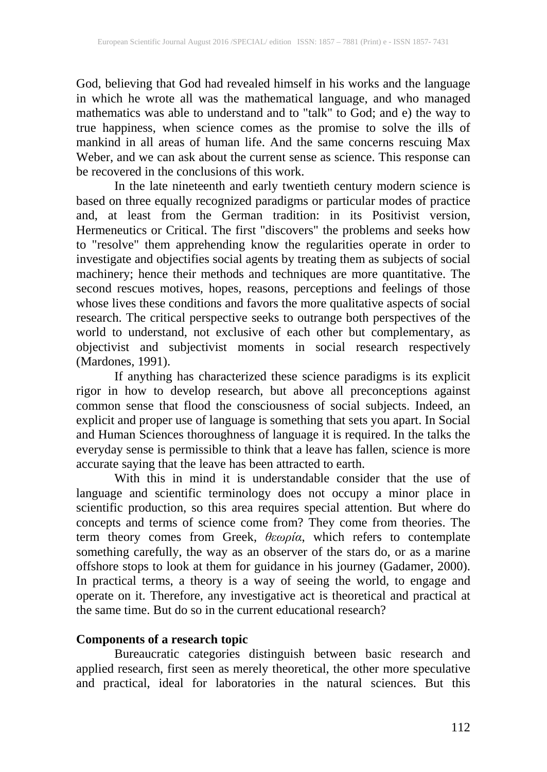God, believing that God had revealed himself in his works and the language in which he wrote all was the mathematical language, and who managed mathematics was able to understand and to "talk" to God; and e) the way to true happiness, when science comes as the promise to solve the ills of mankind in all areas of human life. And the same concerns rescuing Max Weber, and we can ask about the current sense as science. This response can be recovered in the conclusions of this work.

In the late nineteenth and early twentieth century modern science is based on three equally recognized paradigms or particular modes of practice and, at least from the German tradition: in its Positivist version, Hermeneutics or Critical. The first "discovers" the problems and seeks how to "resolve" them apprehending know the regularities operate in order to investigate and objectifies social agents by treating them as subjects of social machinery; hence their methods and techniques are more quantitative. The second rescues motives, hopes, reasons, perceptions and feelings of those whose lives these conditions and favors the more qualitative aspects of social research. The critical perspective seeks to outrange both perspectives of the world to understand, not exclusive of each other but complementary, as objectivist and subjectivist moments in social research respectively (Mardones, 1991).

If anything has characterized these science paradigms is its explicit rigor in how to develop research, but above all preconceptions against common sense that flood the consciousness of social subjects. Indeed, an explicit and proper use of language is something that sets you apart. In Social and Human Sciences thoroughness of language it is required. In the talks the everyday sense is permissible to think that a leave has fallen, science is more accurate saying that the leave has been attracted to earth.

With this in mind it is understandable consider that the use of language and scientific terminology does not occupy a minor place in scientific production, so this area requires special attention. But where do concepts and terms of science come from? They come from theories. The term theory comes from Greek, *θεωρία*, which refers to contemplate something carefully, the way as an observer of the stars do, or as a marine offshore stops to look at them for guidance in his journey (Gadamer, 2000). In practical terms, a theory is a way of seeing the world, to engage and operate on it. Therefore, any investigative act is theoretical and practical at the same time. But do so in the current educational research?

## **Components of a research topic**

Bureaucratic categories distinguish between basic research and applied research, first seen as merely theoretical, the other more speculative and practical, ideal for laboratories in the natural sciences. But this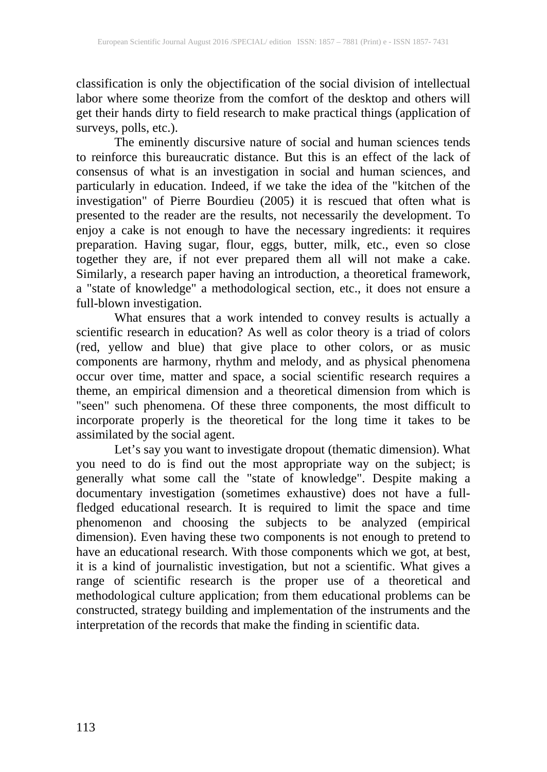classification is only the objectification of the social division of intellectual labor where some theorize from the comfort of the desktop and others will get their hands dirty to field research to make practical things (application of surveys, polls, etc.).

The eminently discursive nature of social and human sciences tends to reinforce this bureaucratic distance. But this is an effect of the lack of consensus of what is an investigation in social and human sciences, and particularly in education. Indeed, if we take the idea of the "kitchen of the investigation" of Pierre Bourdieu (2005) it is rescued that often what is presented to the reader are the results, not necessarily the development. To enjoy a cake is not enough to have the necessary ingredients: it requires preparation. Having sugar, flour, eggs, butter, milk, etc., even so close together they are, if not ever prepared them all will not make a cake. Similarly, a research paper having an introduction, a theoretical framework, a "state of knowledge" a methodological section, etc., it does not ensure a full-blown investigation.

What ensures that a work intended to convey results is actually a scientific research in education? As well as color theory is a triad of colors (red, yellow and blue) that give place to other colors, or as music components are harmony, rhythm and melody, and as physical phenomena occur over time, matter and space, a social scientific research requires a theme, an empirical dimension and a theoretical dimension from which is "seen" such phenomena. Of these three components, the most difficult to incorporate properly is the theoretical for the long time it takes to be assimilated by the social agent.

Let's say you want to investigate dropout (thematic dimension). What you need to do is find out the most appropriate way on the subject; is generally what some call the "state of knowledge". Despite making a documentary investigation (sometimes exhaustive) does not have a fullfledged educational research. It is required to limit the space and time phenomenon and choosing the subjects to be analyzed (empirical dimension). Even having these two components is not enough to pretend to have an educational research. With those components which we got, at best, it is a kind of journalistic investigation, but not a scientific. What gives a range of scientific research is the proper use of a theoretical and methodological culture application; from them educational problems can be constructed, strategy building and implementation of the instruments and the interpretation of the records that make the finding in scientific data.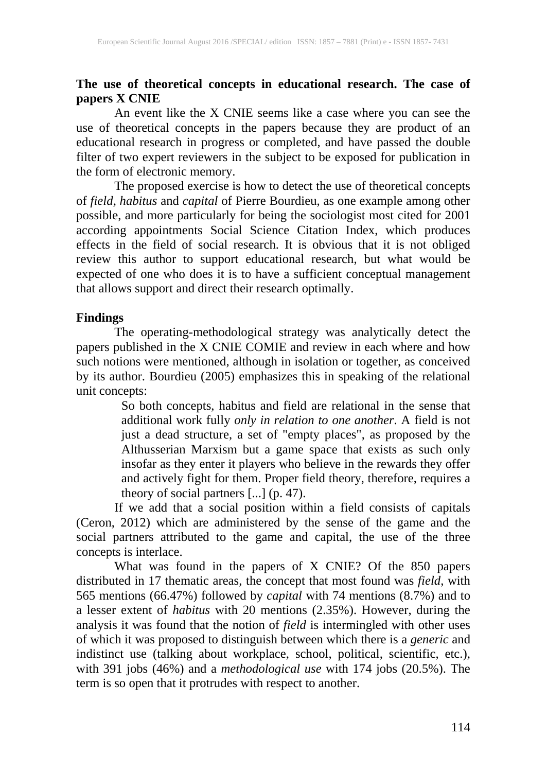## **The use of theoretical concepts in educational research. The case of papers X CNIE**

An event like the X CNIE seems like a case where you can see the use of theoretical concepts in the papers because they are product of an educational research in progress or completed, and have passed the double filter of two expert reviewers in the subject to be exposed for publication in the form of electronic memory.

The proposed exercise is how to detect the use of theoretical concepts of *field, habitus* and *capital* of Pierre Bourdieu, as one example among other possible, and more particularly for being the sociologist most cited for 2001 according appointments Social Science Citation Index, which produces effects in the field of social research. It is obvious that it is not obliged review this author to support educational research, but what would be expected of one who does it is to have a sufficient conceptual management that allows support and direct their research optimally.

### **Findings**

The operating-methodological strategy was analytically detect the papers published in the X CNIE COMIE and review in each where and how such notions were mentioned, although in isolation or together, as conceived by its author. Bourdieu (2005) emphasizes this in speaking of the relational unit concepts:

> So both concepts, habitus and field are relational in the sense that additional work fully *only in relation to one another*. A field is not just a dead structure, a set of "empty places", as proposed by the Althusserian Marxism but a game space that exists as such only insofar as they enter it players who believe in the rewards they offer and actively fight for them. Proper field theory, therefore, requires a theory of social partners [...] (p. 47).

If we add that a social position within a field consists of capitals (Ceron, 2012) which are administered by the sense of the game and the social partners attributed to the game and capital, the use of the three concepts is interlace.

What was found in the papers of X CNIE? Of the 850 papers distributed in 17 thematic areas, the concept that most found was *field*, with 565 mentions (66.47%) followed by *capital* with 74 mentions (8.7%) and to a lesser extent of *habitus* with 20 mentions (2.35%). However, during the analysis it was found that the notion of *field* is intermingled with other uses of which it was proposed to distinguish between which there is a *generic* and indistinct use (talking about workplace, school, political, scientific, etc.), with 391 jobs (46%) and a *methodological use* with 174 jobs (20.5%). The term is so open that it protrudes with respect to another.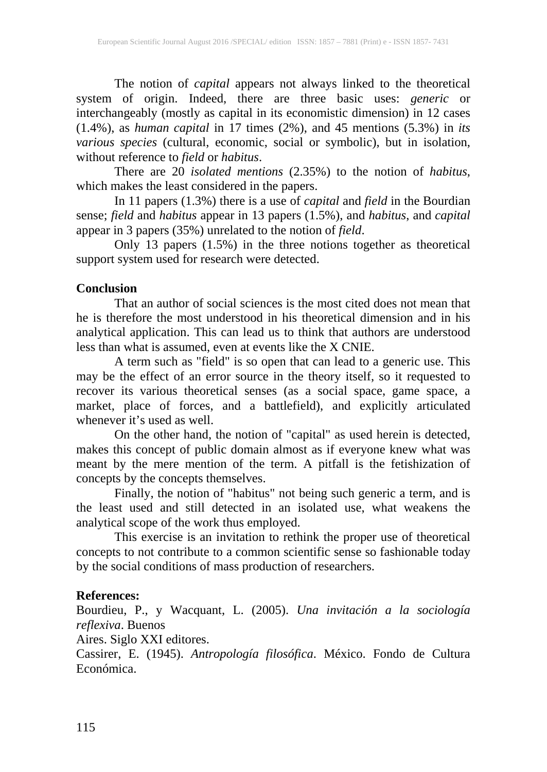The notion of *capital* appears not always linked to the theoretical system of origin. Indeed, there are three basic uses: *generic* or interchangeably (mostly as capital in its economistic dimension) in 12 cases (1.4%), as *human capital* in 17 times (2%), and 45 mentions (5.3%) in *its various species* (cultural, economic, social or symbolic), but in isolation, without reference to *field* or *habitus*.

There are 20 *isolated mentions* (2.35%) to the notion of *habitus*, which makes the least considered in the papers.

In 11 papers (1.3%) there is a use of *capital* and *field* in the Bourdian sense; *field* and *habitus* appear in 13 papers (1.5%), and *habitus*, and *capital* appear in 3 papers (35%) unrelated to the notion of *field*.

Only 13 papers (1.5%) in the three notions together as theoretical support system used for research were detected.

### **Conclusion**

That an author of social sciences is the most cited does not mean that he is therefore the most understood in his theoretical dimension and in his analytical application. This can lead us to think that authors are understood less than what is assumed, even at events like the X CNIE.

A term such as "field" is so open that can lead to a generic use. This may be the effect of an error source in the theory itself, so it requested to recover its various theoretical senses (as a social space, game space, a market, place of forces, and a battlefield), and explicitly articulated whenever it's used as well.

On the other hand, the notion of "capital" as used herein is detected, makes this concept of public domain almost as if everyone knew what was meant by the mere mention of the term. A pitfall is the fetishization of concepts by the concepts themselves.

Finally, the notion of "habitus" not being such generic a term, and is the least used and still detected in an isolated use, what weakens the analytical scope of the work thus employed.

This exercise is an invitation to rethink the proper use of theoretical concepts to not contribute to a common scientific sense so fashionable today by the social conditions of mass production of researchers.

#### **References:**

Bourdieu, P., y Wacquant, L. (2005). *Una invitación a la sociología reflexiva*. Buenos

Aires. Siglo XXI editores.

Cassirer, E. (1945). *Antropología filosófica*. México. Fondo de Cultura Económica.